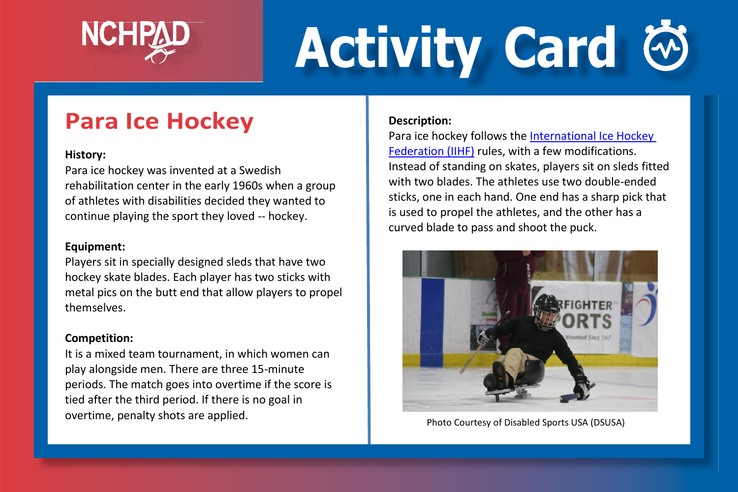

# **Activity Card**

## **Para Ice Hockey**

#### **History:**

Para ice hockey was invented at a Swedish rehabilitation center in the early 1960s when a group of athletes with disabilities decided they wanted to continue playing the sport they loved -- hockey.

#### **Equipment:**

Players sit in specially designed sleds that have two hockey skate blades. Each player has two sticks with metal pics on the butt end that allow players to propel themselves.

#### **Competition:**

It is a mixed team tournament, in which women can play alongside men. There are three 15-minute periods. The match goes into overtime if the score is tied after the third period. If there is no goal in overtime, penalty shots are applied.

#### **Description:**

Para ice hockey follows the [International Ice Hockey](http://www.iihf.com/)  [Federation \(IIHF\)](http://www.iihf.com/) rules, with a few modifications. Instead of standing on skates, players sit on sleds fitted with two blades. The athletes use two double-ended sticks, one in each hand. One end has a sharp pick that is used to propel the athletes, and the other has a curved blade to pass and shoot the puck.



Photo Courtesy of Disabled Sports USA (DSUSA)